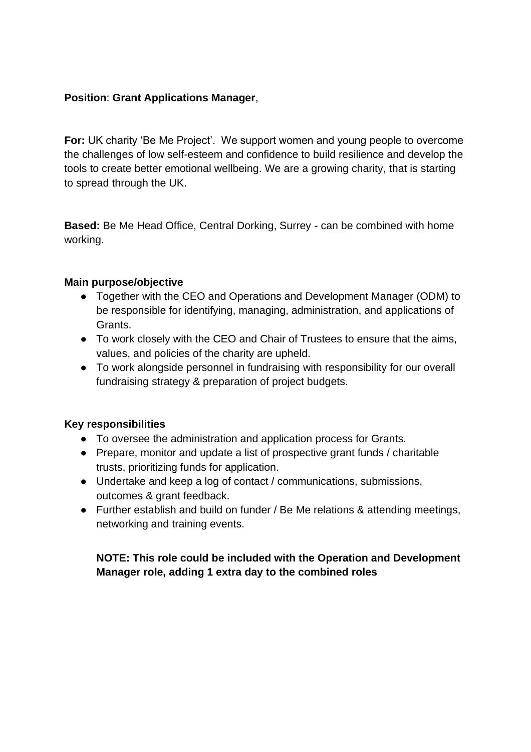## **Position**: **Grant Applications Manager**,

**For:** UK charity 'Be Me Project'. We support women and young people to overcome the challenges of low self-esteem and confidence to build resilience and develop the tools to create better emotional wellbeing. We are a growing charity, that is starting to spread through the UK.

**Based:** Be Me Head Office, Central Dorking, Surrey - can be combined with home working.

#### **Main purpose/objective**

- Together with the CEO and Operations and Development Manager (ODM) to be responsible for identifying, managing, administration, and applications of Grants.
- To work closely with the CEO and Chair of Trustees to ensure that the aims, values, and policies of the charity are upheld.
- To work alongside personnel in fundraising with responsibility for our overall fundraising strategy & preparation of project budgets.

## **Key responsibilities**

- To oversee the administration and application process for Grants.
- Prepare, monitor and update a list of prospective grant funds / charitable trusts, prioritizing funds for application.
- Undertake and keep a log of contact / communications, submissions, outcomes & grant feedback.
- Further establish and build on funder / Be Me relations & attending meetings, networking and training events.

# **NOTE: This role could be included with the Operation and Development Manager role, adding 1 extra day to the combined roles**